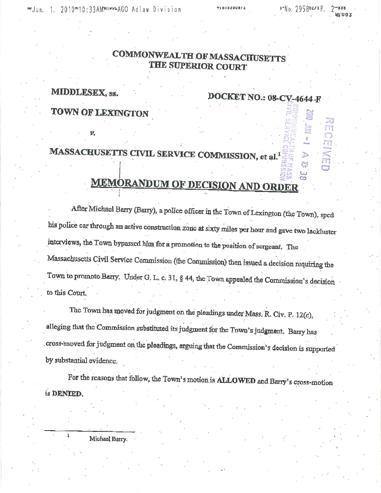## **COMMONWEALTH OF MASSACHUSETTS THE SUPERIOR COURT**

MIDDLESEX, SS. TOWN OF LEXINGTON

## DOCKET NO.: 08-CV-4644-F

## MASSACHUSETTS CIVIL SERVICE COMMISSION, et al.<sup>1</sup>

# **MEMORANDUM OF DECISION AND ORDER**

After Michael Barry (Barry), a police officer in the Town of Lexington (the Town), sped bis police car through an active construction zone at sixty miles per hour and gave two lackluster interviews, the Town bypassed him for a promotion to the position of sergeant. The Massachusetts Civil Service Commission (the Commission) then issued a decision requiring the Town to promote Barry. Under G. L. c. 31, § 44, the Town appealed the Commission's decision to this Court.

The Town has moved for judgment on the pleadings under Mass. R. Civ. P.  $12(c)$ , alleging that the Commission substituted its judgment for the Town's judgment. Barry has cross-moved for judgment on the pleadings, arguing that the Commission's decision is supported by substantial evidence.

For the reasons that follow, the Town's motion is ALLOWED and Barry's cross-motion is DENIED.

Michael Barry.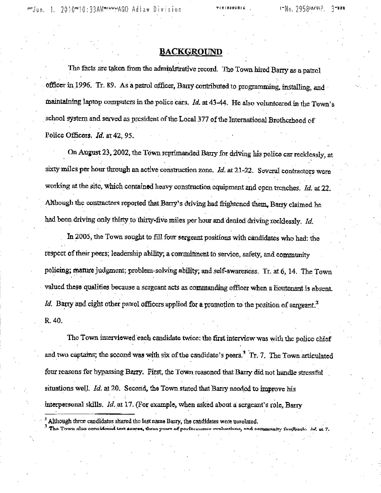M'Jun. 1. 2010"'10:33AM"'""''AGO Adlaw Division

TIUIVOUUDIA

#### **BACKGROUND**

The facts are taken from the administrative record. The Town hired Barry as a patrol officer in 1996. Tr. 89. As a patrol officer, Barry contributed to programming, installing, and maintaining laptop computers in the police cars. *Id.* at 43-44. He also volunteered in the Town's . school 9ystem and served as president of the Local 377 of the Intematlonal Brotherhood of Police Officers. *Id.* at 42, 95.

On August 23, 2002, the Town reprimanded Barry for driving his police car recklessly, at ' ' sixty miles per hour through an active construction zone. *Id.* at 21-22. Several contractors were working at the site, which contained heavy construction equipment and open trenches. *Id.* at 22. Although the contractors reported that Barry's driving had frightened them. Barry claimed he had been driving only thirty to thirty-five miles per hour and denied driving recklessly. *Id.* 

In 2005, the Town sought to fill four sergeant positions with candidates who had: the respect of their peers; leadership ability; a commitment to service, safety, and community policing; mature judgment; problem-solving ability; and self-awareness. Tr. at 6, 14. The Town valued **these** qualities because a sergeant acts as commanding officer when a lieutenant is absent. *Id.* Barry and eight other parrol officers applied for a promotion to the position of sergeant.<sup>2</sup> R.40.

The Town interviewed each candidate twice: the first interview was with the police chief and two captains; the second was with six of the candidate's peers.<sup>3</sup> Tr. 7. The Town articulated . The contract of the contract of the contract of the contract of the contract of the contract of the contract of the contract of the contract of the contract of the contract of the contract of the contract of the contrac four reasons for bypassing Barry. First, the Town reasoned that Barry did not handle stressful situations well. *Id.* at 20. Second, the Town stated that Barry needed to improve his interpersonal skills. *Id.* at 17. (For example, when asked about a sergeant's role, Barry

Although three candidates shared the last name Barry, the candidates were unrelated.<br>The Town also considered test agores, three years of performance ovaluations, and community feedback. Ed. at 7.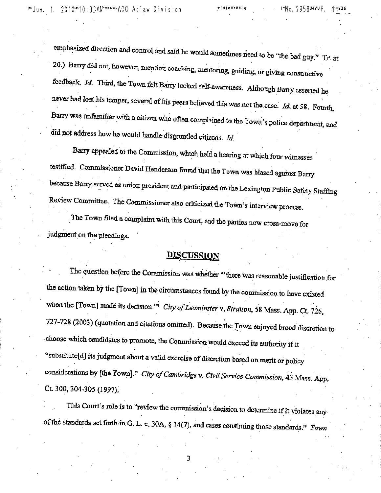emphasized direction and control and said he would somotimes need to be "the bad guy." Tr. at 20.) Barry did not, however, mention coaching, mentoring, guiding, or giving consuluctive feedback. *Id.* Third, the Town felt Barry lacked self-awareness. Although Barry asserted he never had lost his temper, several of his peers believed this was not the case. *Id.* at 58, Fourth. Barry was unfamiliar with a citizen who often complained to the Town's police department, and did not address how he would handle disgruntled citizens. *Id.* 

Barry appealed to the Commission, which held a hearing at which four witnesses testified. Commissioner David Henderson found 'that the Town was biased against Barry because Barry served as union president and participated on the Lexington Public Safety Staffing Review Committee. The Commissioner also criticized the Town's interview process.

The Town filed a complaint with this Court, and the parties now cross-move for judgment on the pleadings.

## **DISCUSSION**

The question before the Commission was whether "'there was reasonable justification for the action taken by the [Town] in the circumstances found by the commission to have cxisted when the [ToWn] made its decision,'" *City of Leominster* v, *Strarton,* 58 Mass. App- Ct. *726,*  727-728 (2003) (quotation and citations omitted). Because the Town enjoyed broad discretion to choose which candidates to promote, the Commission would exceed its authority if it "substitute[d] its judgment about a valid exercise of discretion based on merit or policy . ' . considerations by **[the** Town]." *Ciryo/Cambridge* v. *Ctvil Service Commission,* 43 Mass. App, Ct. 300, 304-305 (1997).

This Court's role is to "review the commission's decision to determine if it violates any of the standards set forth in G. L. c. 30A, § 14(7), and cases construing those standards." *Town* 

3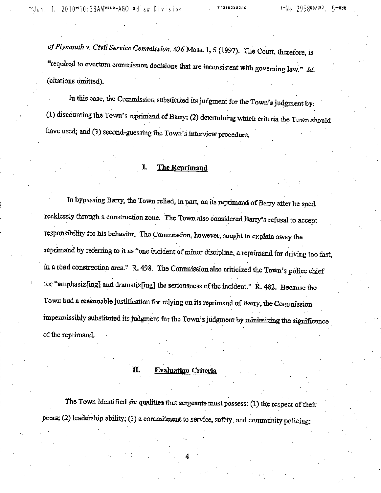*of Plymourh v. Civil Service Commission,* 426 Mass. I, 5 (1997). The Co-urt, therefore, is "required to overturn commission decisions that are inconsistent with governing law." *Id.* ( citations omitted).

In this case, the Commission substituted its judgment for the Town's judgment by:  $(1)$  discounting the Town's reprimand of Barry;  $(2)$  determining which criteria the Town should have used; and (3) second-guessing the Town's interview procedure.

#### I. **The Reprimand**

In bypassing Barry, the Town relied, in part, on its reprimand of Barry after he sped . ' ' ' recklessly through a construction zone. The Town also considered **Bany'** *s* refusal to accept responsibility for his behavior. 1ne Commission, however, sought to explaln away the reprimand by referring to it *as* "one incident of minor discipline, a reprimand for driving too fast, in a road construction area." R. 498. The Commission also criticized the Town's police chief for "emphasiz[ing] and dramatiz[ing] the seriousness of the incident." R. 482. Because the Town had a reasonable justification for relying on its reprimand of Barry, the Commission impermissibly substituted its judgment for the Town's judgment by minimizing the significance of the reprimand.

#### II. **Evaluation Criteria**

The Town identified six qualities that sergeants must possess: (1) the respect of their peers; (2) leadership ability; (3) a commitment to service, safety, and community policing;

4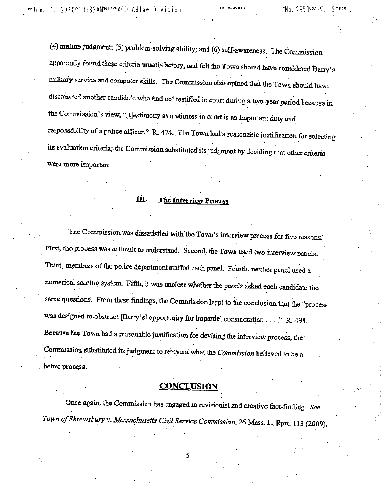(4) mature judgment; (5) problem-solving ability; and (6) self-awareness. The Commission apparently found these criteria unsatisfactory, and felt the Town should have considered Barry's military service and computer skills. The Commission also opined that the Town should have discounted another candidate who had not testified in court during a two-year period because in the Commission's view, "[t]estimony as a witness in court is an important duty and responsibility of a police officer." R. 474. The Town had a reasonable justification for selecting its evaluation criteria; the Commission substituted its judgment by deciding that other criteria were more important.

#### **III.** The Interview Process

The Commission was dissatisfied with the Town's interview process for five reasons. First, the process was difficult to understand. Second, the Town used two interview panels. Third, members of the police department staffed each panel. Fourth, neither panel used a numerical scoring system. Fifth, it was unclear whether the panels asked each candidate the same questions. From these findings, the Commission leapt to the conclusion that the "process was designed to obstruct [Barry's] opportunity for impartial consideration ...." R. 498, Because the Town had a reasonable justification for devising the interview process, the Commission substituted its judgment to reinvent what the *Commission* believed to be a . better process.

## **CONCLUSION**

Once again, the Commission has engaged in revisionist and creative fact-finding. *See Town of Shrewsbury* v. *Massachusetts Ci~il Service Commission,* 26 Mass. L. Rptr. 113 (2009),

5